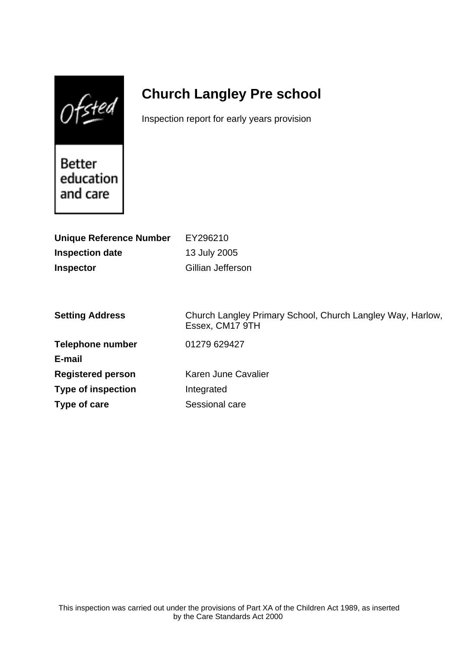$0$ fsted

# **Church Langley Pre school**

Inspection report for early years provision

Better education and care

| EY296210                                                                      |
|-------------------------------------------------------------------------------|
| 13 July 2005                                                                  |
| Gillian Jefferson                                                             |
|                                                                               |
|                                                                               |
| Church Langley Primary School, Church Langley Way, Harlow,<br>Essex, CM17 9TH |
| 01279 629427                                                                  |
|                                                                               |
| Karen June Cavalier                                                           |
| Integrated                                                                    |
| Sessional care                                                                |
|                                                                               |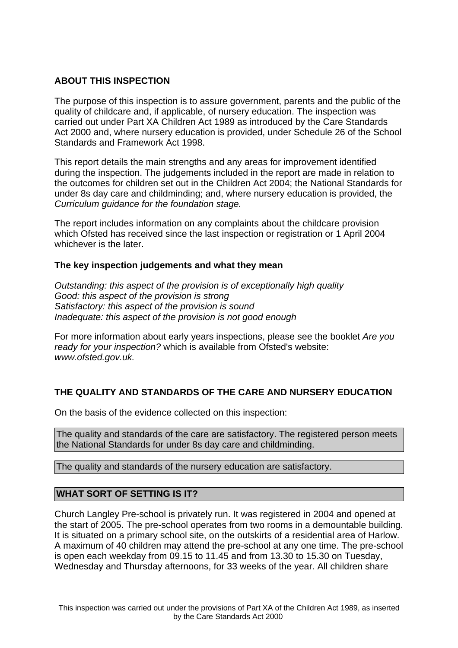## **ABOUT THIS INSPECTION**

The purpose of this inspection is to assure government, parents and the public of the quality of childcare and, if applicable, of nursery education. The inspection was carried out under Part XA Children Act 1989 as introduced by the Care Standards Act 2000 and, where nursery education is provided, under Schedule 26 of the School Standards and Framework Act 1998.

This report details the main strengths and any areas for improvement identified during the inspection. The judgements included in the report are made in relation to the outcomes for children set out in the Children Act 2004; the National Standards for under 8s day care and childminding; and, where nursery education is provided, the Curriculum guidance for the foundation stage.

The report includes information on any complaints about the childcare provision which Ofsted has received since the last inspection or registration or 1 April 2004 whichever is the later.

## **The key inspection judgements and what they mean**

Outstanding: this aspect of the provision is of exceptionally high quality Good: this aspect of the provision is strong Satisfactory: this aspect of the provision is sound Inadequate: this aspect of the provision is not good enough

For more information about early years inspections, please see the booklet Are you ready for your inspection? which is available from Ofsted's website: www.ofsted.gov.uk.

# **THE QUALITY AND STANDARDS OF THE CARE AND NURSERY EDUCATION**

On the basis of the evidence collected on this inspection:

The quality and standards of the care are satisfactory. The registered person meets the National Standards for under 8s day care and childminding.

The quality and standards of the nursery education are satisfactory.

## **WHAT SORT OF SETTING IS IT?**

Church Langley Pre-school is privately run. It was registered in 2004 and opened at the start of 2005. The pre-school operates from two rooms in a demountable building. It is situated on a primary school site, on the outskirts of a residential area of Harlow. A maximum of 40 children may attend the pre-school at any one time. The pre-school is open each weekday from 09.15 to 11.45 and from 13.30 to 15.30 on Tuesday, Wednesday and Thursday afternoons, for 33 weeks of the year. All children share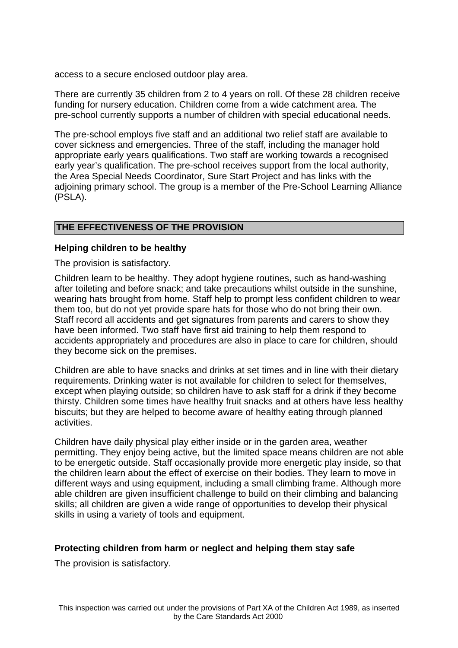access to a secure enclosed outdoor play area.

There are currently 35 children from 2 to 4 years on roll. Of these 28 children receive funding for nursery education. Children come from a wide catchment area. The pre-school currently supports a number of children with special educational needs.

The pre-school employs five staff and an additional two relief staff are available to cover sickness and emergencies. Three of the staff, including the manager hold appropriate early years qualifications. Two staff are working towards a recognised early year's qualification. The pre-school receives support from the local authority, the Area Special Needs Coordinator, Sure Start Project and has links with the adjoining primary school. The group is a member of the Pre-School Learning Alliance (PSLA).

# **THE EFFECTIVENESS OF THE PROVISION**

## **Helping children to be healthy**

The provision is satisfactory.

Children learn to be healthy. They adopt hygiene routines, such as hand-washing after toileting and before snack; and take precautions whilst outside in the sunshine, wearing hats brought from home. Staff help to prompt less confident children to wear them too, but do not yet provide spare hats for those who do not bring their own. Staff record all accidents and get signatures from parents and carers to show they have been informed. Two staff have first aid training to help them respond to accidents appropriately and procedures are also in place to care for children, should they become sick on the premises.

Children are able to have snacks and drinks at set times and in line with their dietary requirements. Drinking water is not available for children to select for themselves, except when playing outside; so children have to ask staff for a drink if they become thirsty. Children some times have healthy fruit snacks and at others have less healthy biscuits; but they are helped to become aware of healthy eating through planned activities.

Children have daily physical play either inside or in the garden area, weather permitting. They enjoy being active, but the limited space means children are not able to be energetic outside. Staff occasionally provide more energetic play inside, so that the children learn about the effect of exercise on their bodies. They learn to move in different ways and using equipment, including a small climbing frame. Although more able children are given insufficient challenge to build on their climbing and balancing skills; all children are given a wide range of opportunities to develop their physical skills in using a variety of tools and equipment.

## **Protecting children from harm or neglect and helping them stay safe**

The provision is satisfactory.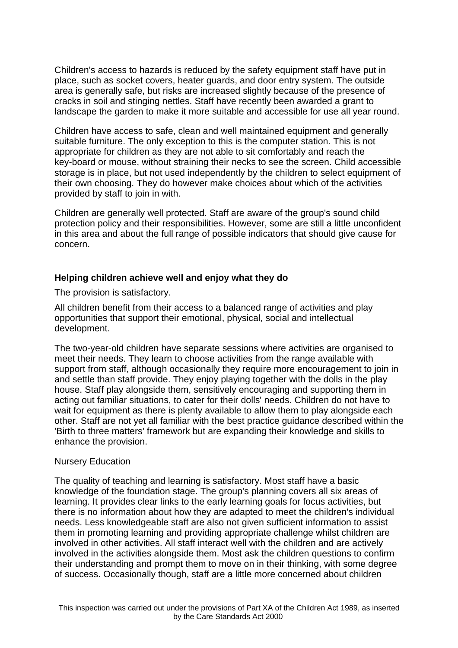Children's access to hazards is reduced by the safety equipment staff have put in place, such as socket covers, heater guards, and door entry system. The outside area is generally safe, but risks are increased slightly because of the presence of cracks in soil and stinging nettles. Staff have recently been awarded a grant to landscape the garden to make it more suitable and accessible for use all year round.

Children have access to safe, clean and well maintained equipment and generally suitable furniture. The only exception to this is the computer station. This is not appropriate for children as they are not able to sit comfortably and reach the key-board or mouse, without straining their necks to see the screen. Child accessible storage is in place, but not used independently by the children to select equipment of their own choosing. They do however make choices about which of the activities provided by staff to join in with.

Children are generally well protected. Staff are aware of the group's sound child protection policy and their responsibilities. However, some are still a little unconfident in this area and about the full range of possible indicators that should give cause for concern.

#### **Helping children achieve well and enjoy what they do**

The provision is satisfactory.

All children benefit from their access to a balanced range of activities and play opportunities that support their emotional, physical, social and intellectual development.

The two-year-old children have separate sessions where activities are organised to meet their needs. They learn to choose activities from the range available with support from staff, although occasionally they require more encouragement to join in and settle than staff provide. They enjoy playing together with the dolls in the play house. Staff play alongside them, sensitively encouraging and supporting them in acting out familiar situations, to cater for their dolls' needs. Children do not have to wait for equipment as there is plenty available to allow them to play alongside each other. Staff are not yet all familiar with the best practice guidance described within the 'Birth to three matters' framework but are expanding their knowledge and skills to enhance the provision.

#### Nursery Education

The quality of teaching and learning is satisfactory. Most staff have a basic knowledge of the foundation stage. The group's planning covers all six areas of learning. It provides clear links to the early learning goals for focus activities, but there is no information about how they are adapted to meet the children's individual needs. Less knowledgeable staff are also not given sufficient information to assist them in promoting learning and providing appropriate challenge whilst children are involved in other activities. All staff interact well with the children and are actively involved in the activities alongside them. Most ask the children questions to confirm their understanding and prompt them to move on in their thinking, with some degree of success. Occasionally though, staff are a little more concerned about children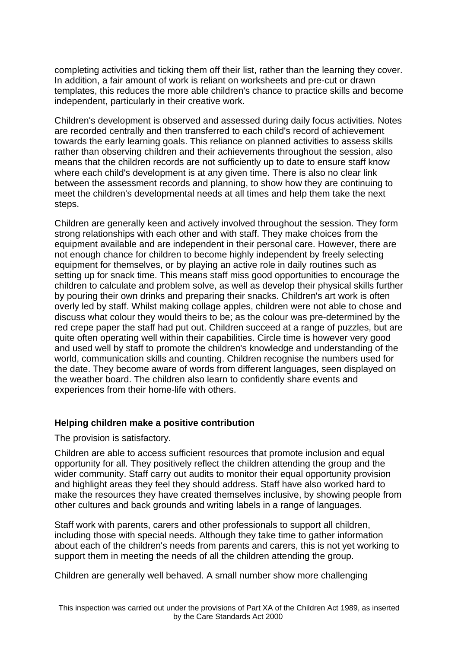completing activities and ticking them off their list, rather than the learning they cover. In addition, a fair amount of work is reliant on worksheets and pre-cut or drawn templates, this reduces the more able children's chance to practice skills and become independent, particularly in their creative work.

Children's development is observed and assessed during daily focus activities. Notes are recorded centrally and then transferred to each child's record of achievement towards the early learning goals. This reliance on planned activities to assess skills rather than observing children and their achievements throughout the session, also means that the children records are not sufficiently up to date to ensure staff know where each child's development is at any given time. There is also no clear link between the assessment records and planning, to show how they are continuing to meet the children's developmental needs at all times and help them take the next steps.

Children are generally keen and actively involved throughout the session. They form strong relationships with each other and with staff. They make choices from the equipment available and are independent in their personal care. However, there are not enough chance for children to become highly independent by freely selecting equipment for themselves, or by playing an active role in daily routines such as setting up for snack time. This means staff miss good opportunities to encourage the children to calculate and problem solve, as well as develop their physical skills further by pouring their own drinks and preparing their snacks. Children's art work is often overly led by staff. Whilst making collage apples, children were not able to chose and discuss what colour they would theirs to be; as the colour was pre-determined by the red crepe paper the staff had put out. Children succeed at a range of puzzles, but are quite often operating well within their capabilities. Circle time is however very good and used well by staff to promote the children's knowledge and understanding of the world, communication skills and counting. Children recognise the numbers used for the date. They become aware of words from different languages, seen displayed on the weather board. The children also learn to confidently share events and experiences from their home-life with others.

## **Helping children make a positive contribution**

The provision is satisfactory.

Children are able to access sufficient resources that promote inclusion and equal opportunity for all. They positively reflect the children attending the group and the wider community. Staff carry out audits to monitor their equal opportunity provision and highlight areas they feel they should address. Staff have also worked hard to make the resources they have created themselves inclusive, by showing people from other cultures and back grounds and writing labels in a range of languages.

Staff work with parents, carers and other professionals to support all children, including those with special needs. Although they take time to gather information about each of the children's needs from parents and carers, this is not yet working to support them in meeting the needs of all the children attending the group.

Children are generally well behaved. A small number show more challenging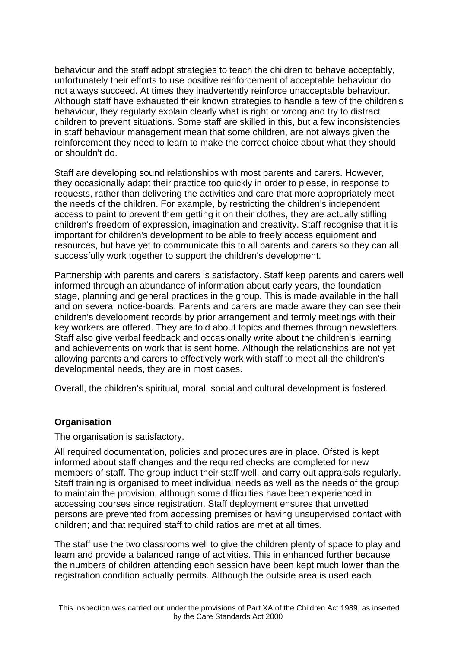behaviour and the staff adopt strategies to teach the children to behave acceptably, unfortunately their efforts to use positive reinforcement of acceptable behaviour do not always succeed. At times they inadvertently reinforce unacceptable behaviour. Although staff have exhausted their known strategies to handle a few of the children's behaviour, they regularly explain clearly what is right or wrong and try to distract children to prevent situations. Some staff are skilled in this, but a few inconsistencies in staff behaviour management mean that some children, are not always given the reinforcement they need to learn to make the correct choice about what they should or shouldn't do.

Staff are developing sound relationships with most parents and carers. However, they occasionally adapt their practice too quickly in order to please, in response to requests, rather than delivering the activities and care that more appropriately meet the needs of the children. For example, by restricting the children's independent access to paint to prevent them getting it on their clothes, they are actually stifling children's freedom of expression, imagination and creativity. Staff recognise that it is important for children's development to be able to freely access equipment and resources, but have yet to communicate this to all parents and carers so they can all successfully work together to support the children's development.

Partnership with parents and carers is satisfactory. Staff keep parents and carers well informed through an abundance of information about early years, the foundation stage, planning and general practices in the group. This is made available in the hall and on several notice-boards. Parents and carers are made aware they can see their children's development records by prior arrangement and termly meetings with their key workers are offered. They are told about topics and themes through newsletters. Staff also give verbal feedback and occasionally write about the children's learning and achievements on work that is sent home. Although the relationships are not yet allowing parents and carers to effectively work with staff to meet all the children's developmental needs, they are in most cases.

Overall, the children's spiritual, moral, social and cultural development is fostered.

## **Organisation**

The organisation is satisfactory.

All required documentation, policies and procedures are in place. Ofsted is kept informed about staff changes and the required checks are completed for new members of staff. The group induct their staff well, and carry out appraisals regularly. Staff training is organised to meet individual needs as well as the needs of the group to maintain the provision, although some difficulties have been experienced in accessing courses since registration. Staff deployment ensures that unvetted persons are prevented from accessing premises or having unsupervised contact with children; and that required staff to child ratios are met at all times.

The staff use the two classrooms well to give the children plenty of space to play and learn and provide a balanced range of activities. This in enhanced further because the numbers of children attending each session have been kept much lower than the registration condition actually permits. Although the outside area is used each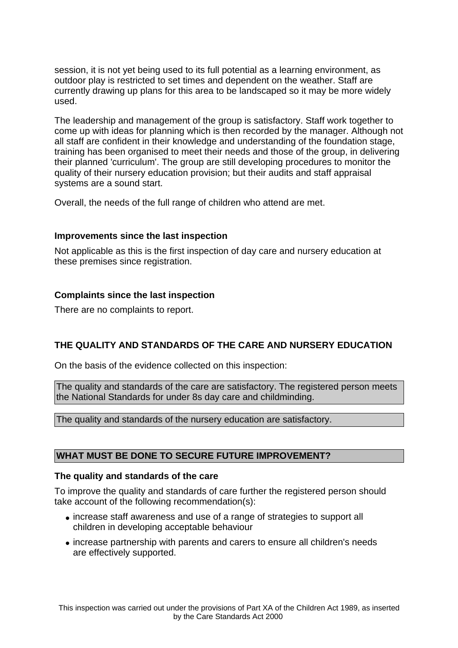session, it is not yet being used to its full potential as a learning environment, as outdoor play is restricted to set times and dependent on the weather. Staff are currently drawing up plans for this area to be landscaped so it may be more widely used.

The leadership and management of the group is satisfactory. Staff work together to come up with ideas for planning which is then recorded by the manager. Although not all staff are confident in their knowledge and understanding of the foundation stage, training has been organised to meet their needs and those of the group, in delivering their planned 'curriculum'. The group are still developing procedures to monitor the quality of their nursery education provision; but their audits and staff appraisal systems are a sound start.

Overall, the needs of the full range of children who attend are met.

## **Improvements since the last inspection**

Not applicable as this is the first inspection of day care and nursery education at these premises since registration.

## **Complaints since the last inspection**

There are no complaints to report.

# **THE QUALITY AND STANDARDS OF THE CARE AND NURSERY EDUCATION**

On the basis of the evidence collected on this inspection:

The quality and standards of the care are satisfactory. The registered person meets the National Standards for under 8s day care and childminding.

The quality and standards of the nursery education are satisfactory.

## **WHAT MUST BE DONE TO SECURE FUTURE IMPROVEMENT?**

#### **The quality and standards of the care**

To improve the quality and standards of care further the registered person should take account of the following recommendation(s):

- increase staff awareness and use of a range of strategies to support all children in developing acceptable behaviour
- increase partnership with parents and carers to ensure all children's needs are effectively supported.